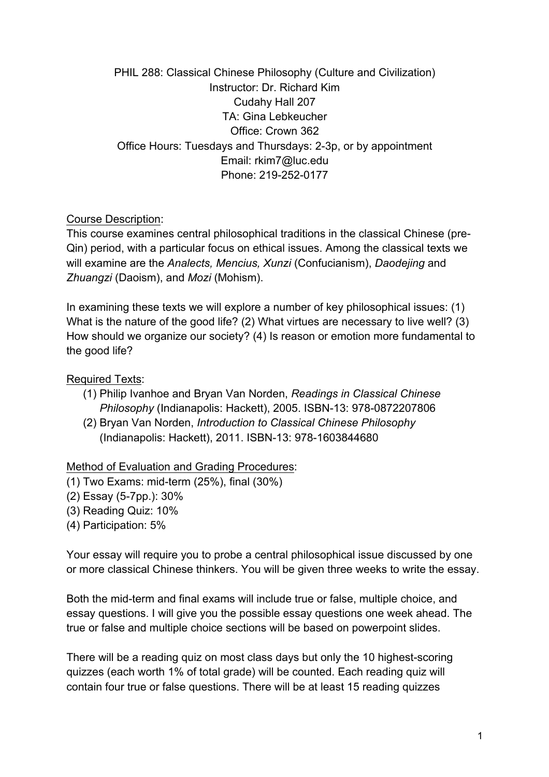PHIL 288: Classical Chinese Philosophy (Culture and Civilization) Instructor: Dr. Richard Kim Cudahy Hall 207 TA: Gina Lebkeucher Office: Crown 362 Office Hours: Tuesdays and Thursdays: 2-3p, or by appointment Email: rkim7@luc.edu Phone: 219-252-0177

Course Description:

This course examines central philosophical traditions in the classical Chinese (pre-Qin) period, with a particular focus on ethical issues. Among the classical texts we will examine are the *Analects, Mencius, Xunzi* (Confucianism), *Daodejing* and *Zhuangzi* (Daoism), and *Mozi* (Mohism).

In examining these texts we will explore a number of key philosophical issues: (1) What is the nature of the good life? (2) What virtues are necessary to live well? (3) How should we organize our society? (4) Is reason or emotion more fundamental to the good life?

Required Texts:

- (1) Philip Ivanhoe and Bryan Van Norden, *Readings in Classical Chinese Philosophy* (Indianapolis: Hackett), 2005. ISBN-13: 978-0872207806
- (2) Bryan Van Norden, *Introduction to Classical Chinese Philosophy*  (Indianapolis: Hackett), 2011. ISBN-13: 978-1603844680

Method of Evaluation and Grading Procedures:

- (1) Two Exams: mid-term (25%), final (30%)
- (2) Essay (5-7pp.): 30%
- (3) Reading Quiz: 10%
- (4) Participation: 5%

Your essay will require you to probe a central philosophical issue discussed by one or more classical Chinese thinkers. You will be given three weeks to write the essay.

Both the mid-term and final exams will include true or false, multiple choice, and essay questions. I will give you the possible essay questions one week ahead. The true or false and multiple choice sections will be based on powerpoint slides.

There will be a reading quiz on most class days but only the 10 highest-scoring quizzes (each worth 1% of total grade) will be counted. Each reading quiz will contain four true or false questions. There will be at least 15 reading quizzes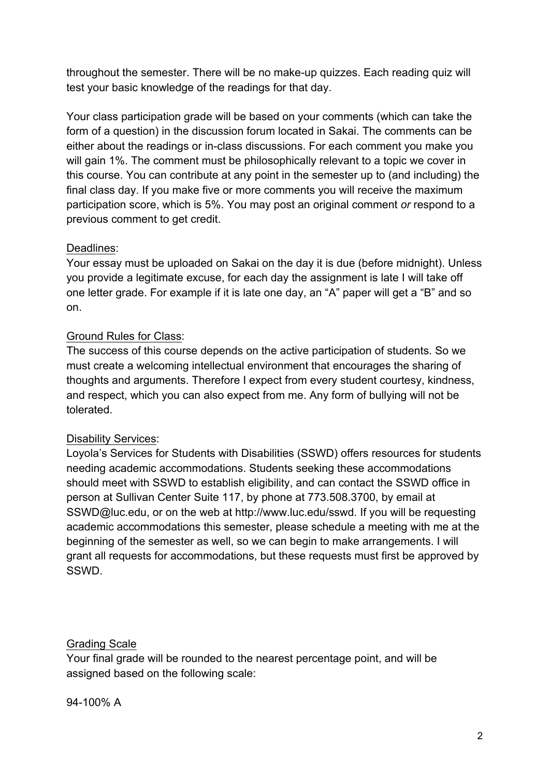throughout the semester. There will be no make-up quizzes. Each reading quiz will test your basic knowledge of the readings for that day.

Your class participation grade will be based on your comments (which can take the form of a question) in the discussion forum located in Sakai. The comments can be either about the readings or in-class discussions. For each comment you make you will gain 1%. The comment must be philosophically relevant to a topic we cover in this course. You can contribute at any point in the semester up to (and including) the final class day. If you make five or more comments you will receive the maximum participation score, which is 5%. You may post an original comment *or* respond to a previous comment to get credit.

## Deadlines:

Your essay must be uploaded on Sakai on the day it is due (before midnight). Unless you provide a legitimate excuse, for each day the assignment is late I will take off one letter grade. For example if it is late one day, an "A" paper will get a "B" and so on.

# Ground Rules for Class:

The success of this course depends on the active participation of students. So we must create a welcoming intellectual environment that encourages the sharing of thoughts and arguments. Therefore I expect from every student courtesy, kindness, and respect, which you can also expect from me. Any form of bullying will not be tolerated.

## Disability Services:

Loyola's Services for Students with Disabilities (SSWD) offers resources for students needing academic accommodations. Students seeking these accommodations should meet with SSWD to establish eligibility, and can contact the SSWD office in person at Sullivan Center Suite 117, by phone at 773.508.3700, by email at SSWD@luc.edu, or on the web at http://www.luc.edu/sswd. If you will be requesting academic accommodations this semester, please schedule a meeting with me at the beginning of the semester as well, so we can begin to make arrangements. I will grant all requests for accommodations, but these requests must first be approved by SSWD.

## Grading Scale

Your final grade will be rounded to the nearest percentage point, and will be assigned based on the following scale:

94-100% A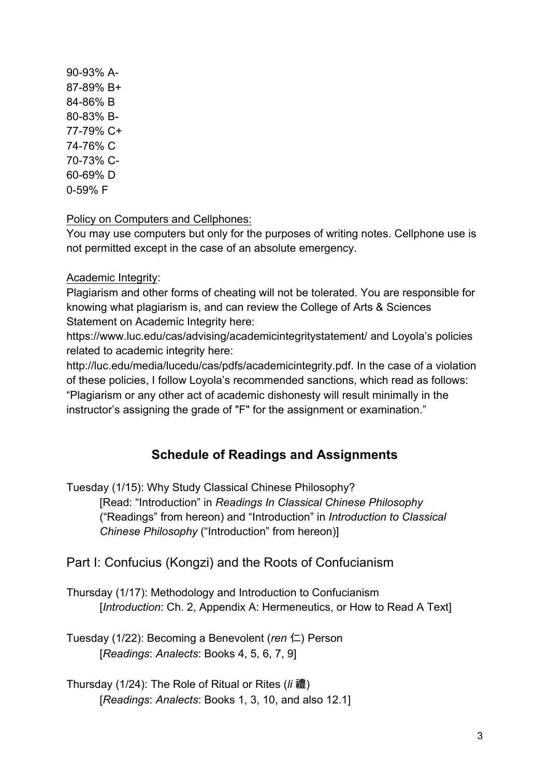90-93% A-87-89% B+ 84-86% B 80-83% B-77-79% C+ 74-76% C 70-73% C-60-69% D 0-59% F

Policy on Computers and Cellphones:

You may use computers but only for the purposes of writing notes. Cellphone use is not permitted except in the case of an absolute emergency.

Academic Integrity:

Plagiarism and other forms of cheating will not be tolerated. You are responsible for knowing what plagiarism is, and can review the College of Arts & Sciences Statement on Academic Integrity here:

https://www.luc.edu/cas/advising/academicintegritystatement/ and Loyola's policies related to academic integrity here:

http://luc.edu/media/lucedu/cas/pdfs/academicintegrity.pdf. In the case of a violation of these policies, I follow Loyola's recommended sanctions, which read as follows: "Plagiarism or any other act of academic dishonesty will result minimally in the instructor's assigning the grade of "F" for the assignment or examination."

# **Schedule of Readings and Assignments**

Tuesday (1/15): Why Study Classical Chinese Philosophy?

[Read: "Introduction" in *Readings In Classical Chinese Philosophy*  ("Readings" from hereon) and "Introduction" in *Introduction to Classical Chinese Philosophy* ("Introduction" from hereon)]

Part I: Confucius (Kongzi) and the Roots of Confucianism

Thursday (1/17): Methodology and Introduction to Confucianism [*Introduction*: Ch. 2, Appendix A: Hermeneutics, or How to Read A Text]

Tuesday (1/22): Becoming a Benevolent (*ren* 仁) Person [*Readings*: *Analects*: Books 4, 5, 6, 7, 9]

Thursday (1/24): The Role of Ritual or Rites (*li* 禮) [*Readings*: *Analects*: Books 1, 3, 10, and also 12.1]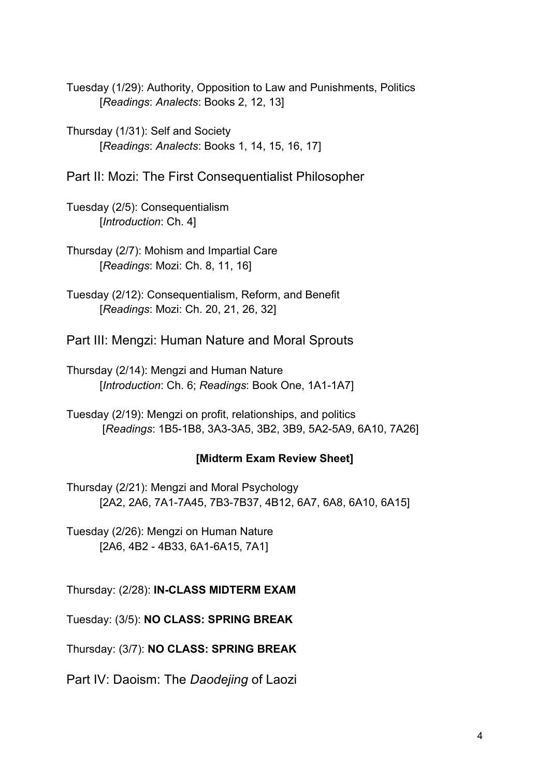Tuesday (1/29): Authority, Opposition to Law and Punishments, Politics [*Readings*: *Analects*: Books 2, 12, 13]

Thursday (1/31): Self and Society [*Readings*: *Analects*: Books 1, 14, 15, 16, 17]

Part II: Mozi: The First Consequentialist Philosopher

Tuesday (2/5): Consequentialism [*Introduction*: Ch. 4]

Thursday (2/7): Mohism and Impartial Care [*Readings*: Mozi: Ch. 8, 11, 16]

Tuesday (2/12): Consequentialism, Reform, and Benefit [*Readings*: Mozi: Ch. 20, 21, 26, 32]

Part III: Mengzi: Human Nature and Moral Sprouts

Thursday (2/14): Mengzi and Human Nature [*Introduction*: Ch. 6; *Readings*: Book One, 1A1-1A7]

Tuesday (2/19): Mengzi on profit, relationships, and politics [*Readings*: 1B5-1B8, 3A3-3A5, 3B2, 3B9, 5A2-5A9, 6A10, 7A26]

## **[Midterm Exam Review Sheet]**

Thursday (2/21): Mengzi and Moral Psychology [2A2, 2A6, 7A1-7A45, 7B3-7B37, 4B12, 6A7, 6A8, 6A10, 6A15]

Tuesday (2/26): Mengzi on Human Nature [2A6, 4B2 - 4B33, 6A1-6A15, 7A1]

Thursday: (2/28): **IN-CLASS MIDTERM EXAM**

Tuesday: (3/5): **NO CLASS: SPRING BREAK**

Thursday: (3/7): **NO CLASS: SPRING BREAK**

Part IV: Daoism: The *Daodejing* of Laozi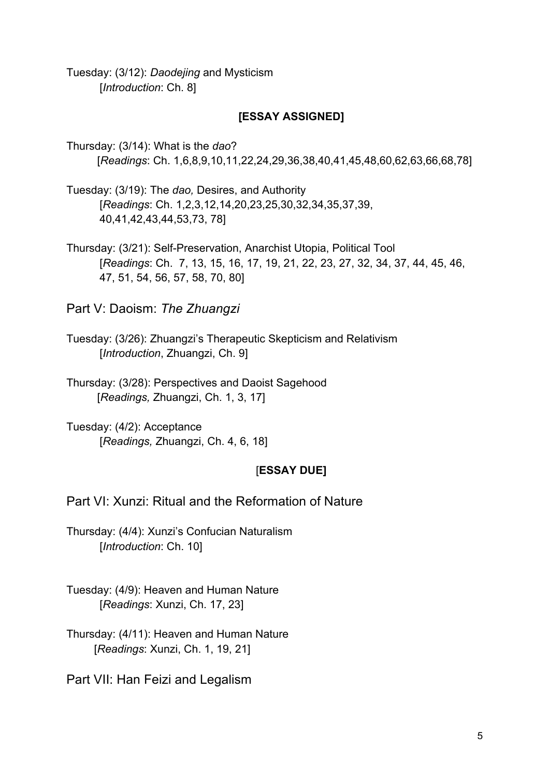Tuesday: (3/12): *Daodejing* and Mysticism [*Introduction*: Ch. 8]

### **[ESSAY ASSIGNED]**

Thursday: (3/14): What is the *dao*? [*Readings*: Ch. 1,6,8,9,10,11,22,24,29,36,38,40,41,45,48,60,62,63,66,68,78]

Tuesday: (3/19): The *dao,* Desires, and Authority [*Readings*: Ch. 1,2,3,12,14,20,23,25,30,32,34,35,37,39, 40,41,42,43,44,53,73, 78]

Thursday: (3/21): Self-Preservation, Anarchist Utopia, Political Tool [*Readings*: Ch. 7, 13, 15, 16, 17, 19, 21, 22, 23, 27, 32, 34, 37, 44, 45, 46, 47, 51, 54, 56, 57, 58, 70, 80]

Part V: Daoism: *The Zhuangzi*

Tuesday: (3/26): Zhuangzi's Therapeutic Skepticism and Relativism [*Introduction*, Zhuangzi, Ch. 9]

Thursday: (3/28): Perspectives and Daoist Sagehood [*Readings,* Zhuangzi, Ch. 1, 3, 17]

Tuesday: (4/2): Acceptance [*Readings,* Zhuangzi, Ch. 4, 6, 18]

#### [**ESSAY DUE]**

Part VI: Xunzi: Ritual and the Reformation of Nature

Thursday: (4/4): Xunzi's Confucian Naturalism [*Introduction*: Ch. 10]

Tuesday: (4/9): Heaven and Human Nature [*Readings*: Xunzi, Ch. 17, 23]

Thursday: (4/11): Heaven and Human Nature [*Readings*: Xunzi, Ch. 1, 19, 21]

Part VII: Han Feizi and Legalism